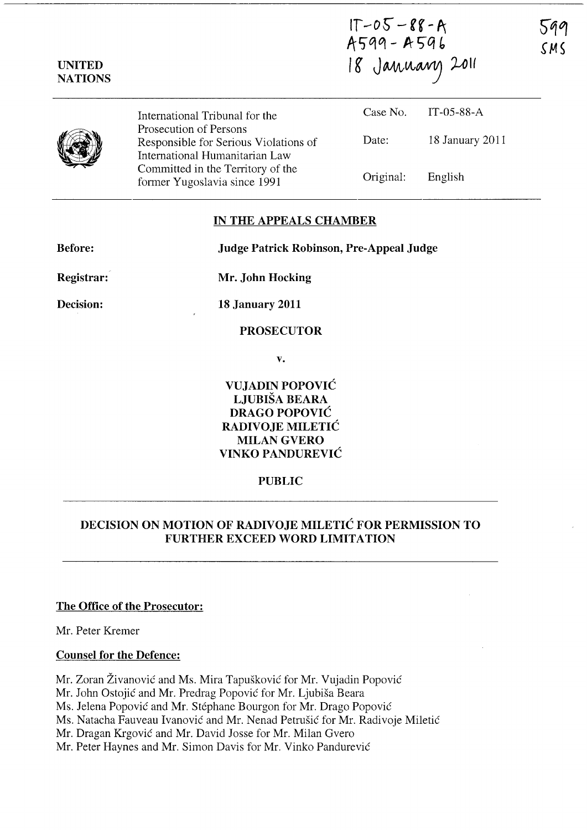| <b>UNITED</b><br><b>NATIONS</b> |                                                                                                   | $1T - 05 - 88 - A$<br>A599 - A596<br>18 January 2011 |                 | 5,<br>S I |
|---------------------------------|---------------------------------------------------------------------------------------------------|------------------------------------------------------|-----------------|-----------|
|                                 | International Tribunal for the                                                                    | Case No.                                             | IT-05-88- $A$   |           |
|                                 | Prosecution of Persons<br>Responsible for Serious Violations of<br>International Humanitarian Law | Date:                                                | 18 January 2011 |           |
|                                 | Committed in the Territory of the<br>former Yugoslavia since 1991                                 | Original:                                            | English         |           |

### **IN THE APPEALS CHAMBER**

**Before: Judge Patrick Robinson, Pre-Appeal Judge** 

**Registrar:** 

**Decision:** 

**Mr. John Hocking** 

**18 January 2011** 

**PROSECUTOR** 

**v.** 

**VUJADIN POPOVIC LJUBISA BEARA DRAGO POPOVIC RADIVOJE MILETIC**  MILAN GVERO **VINKO PANDUREVIC** 

## **PUBLIC**

# **DECISION ON MOTION OF RADIVOJE MILETIC FOR PERMISSION TO FURTHER EXCEED WORD LIMITATION**

#### **The Office of the Prosecutor:**

Mr. Peter Kremer

## **Counsel for the Defence:**

Mr. Zoran Živanović and Ms. Mira Tapušković for Mr. Vujadin Popović

Mr. John Ostojic and Mr. Predrag Popovic for Mr. Ljubisa Beara

Ms. Jelena Popovic and Mr. Stephane Bourgon for Mr. Drago Popovic

Ms. Natacha Fauveau Ivanovic and Mr. Nenad Petrusic for Mr. Radivoje Miletic

Mr. Dragan Krgovic and Mr. David Josse for Mr. Milan Gvero

Mr. Peter Haynes and Mr. Simon Davis for Mr. Vinko Pandurevic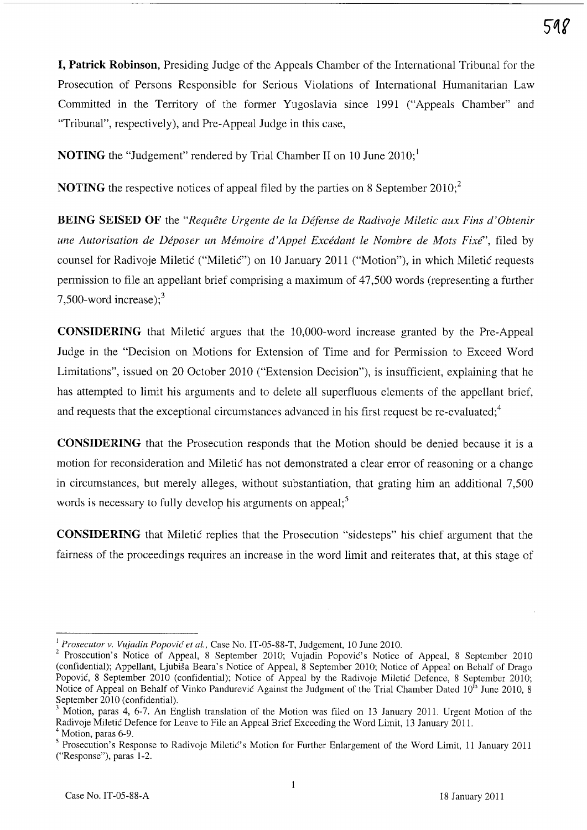**I, Patrick Robinson,** Presiding Judge of the Appeals Chamber of the International Tribunal for the Prosecution of Persons Responsible for Serious Violations of International Humanitarian Law Committed in the Territory of the former Yugoslavia since 1991 ("Appeals Chamber" and "Tribunal", respectively), and Pre-Appeal Judge in this case,

**NOTING** the "Judgement" rendered by Trial Chamber II on 10 June 2010;

**NOTING** the respective notices of appeal filed by the parties on 8 September 2010;<sup>2</sup>

**BEING SEISED OF** the *"Requete Urgente de la Defense de Radivoje Miletic aux Fins d'Obtenir une Autorisation de Déposer un Mémoire d'Appel Excédant le Nombre de Mots Fixé"*, filed by counsel for Radivoje Miletic ("Miletic") on 10 January 2011 ("Motion"), in which Miletic requests permission to file an appellant brief comprising a maximum of 47,500 words (representing a further 7,500-word increase); $3$ 

**CONSIDERING** that Miletic argues that the 1O,000-word increase granted by the Pre-Appeal Judge in the "Decision on Motions for Extension of Time and for Permission to Exceed Word Limitations", issued on 20 October 2010 ("Extension Decision"), is insufficient, explaining that he has attempted to limit his arguments and to delete all superfluous elements of the appellant brief, and requests that the exceptional circumstances advanced in his first request be re-evaluated; $4^4$ 

**CONSIDERING** that the Prosecution responds that the Motion should be denied because it is a motion for reconsideration and Miletic has not demonstrated a clear error of reasoning or a change in circumstances, but merely alleges, without substantiation, that grating him an additional 7,500 words is necessary to fully develop his arguments on appeal;<sup>5</sup>

**CONSIDERING** that Miletic replies that the Prosecution "sidesteps" his chief argument that the fairness of the proceedings requires an increase in the word limit and reiterates that, at this stage of

<sup>&</sup>lt;sup>1</sup> Prosecutor v. Vujadin Popović et al., Case No. IT-05-88-T, Judgement, 10 June 2010.

<sup>2</sup> Prosecution's Notice of Appeal, 8 September 2010; Vujadin Popovic's Notice of Appeal, 8 September 2010 (confidential); Appellant, Ljubisa Beara's Notice of Appeal, 8 September 2010; Notice of Appeal on Behalf of Drago Popović, 8 September 2010 (confidential); Notice of Appeal by the Radivoje Miletić Defence, 8 September 2010; Notice of Appeal on Behalf of Vinko Pandurevic Against the Judgment of the Trial Chamber Dated  $10^{th}$  June 2010, 8 September 2010 (confidential).

<sup>&</sup>lt;sup>3</sup> Motion, paras 4, 6-7. An English translation of the Motion was filed on 13 January 2011. Urgent Motion of the Radivoje Miletic Defence for Leave to File an Appeal Brief Exceeding the Word Limit, 13 January 2011.

 $<sup>4</sup>$  Motion, paras 6-9.</sup>

<sup>&</sup>lt;sup>5</sup> Prosecution's Response to Radivoje Miletic's Motion for Further Enlargement of the Word Limit, 11 January 2011 ("Response"), paras 1-2.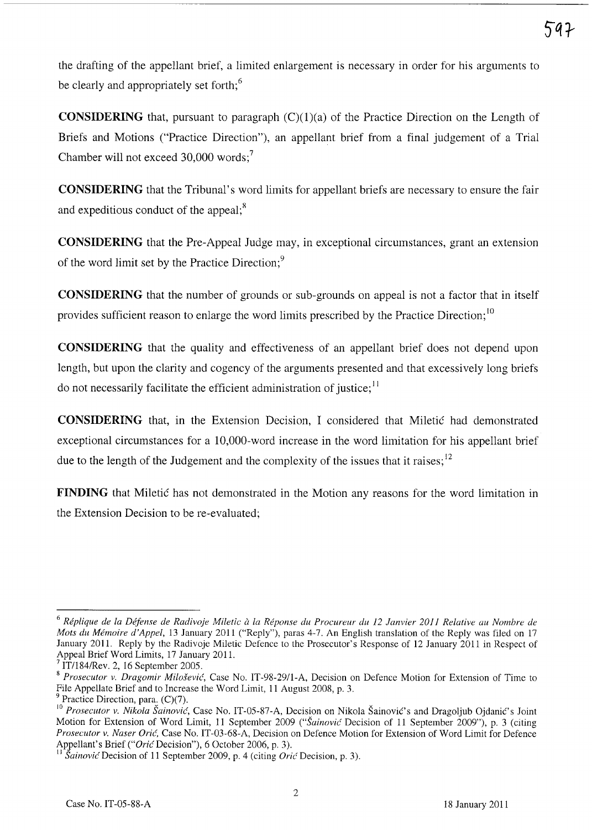the drafting of the appellant brief, a limited enlargement is necessary in order for his arguments to be clearly and appropriately set forth;<sup>6</sup>

**CONSIDERING** that, pursuant to paragraph  $(C)(1)(a)$  of the Practice Direction on the Length of Briefs and Motions ("Practice Direction"), an appellant brief from a final judgement of a Trial Chamber will not exceed 30,000 words;<sup>7</sup>

**CONSIDERING** that the Tribunal's word limits for appellant briefs are necessary to ensure the fair and expeditious conduct of the appeal; $<sup>8</sup>$ </sup>

**CONSIDERING** that the Pre-Appeal Judge may, in exceptional circumstances, grant an extension of the word limit set by the Practice Direction;<sup>9</sup>

**CONSIDERING** that the number of grounds or sub-grounds on appeal is not a factor that in itself provides sufficient reason to enlarge the word limits prescribed by the Practice Direction;<sup>10</sup>

**CONSIDERING** that the quality and effectiveness of an appellant brief does not depend upon length, but upon the clarity and cogency of the arguments presented and that excessively long briefs do not necessarily facilitate the efficient administration of justice;  $11$ 

**CONSIDERING** that, in the Extension Decision, I considered that Miletic had demonstrated exceptional circumstances for a 1O,000-word increase in the word limitation for his appellant brief due to the length of the Judgement and the complexity of the issues that it raises;<sup>12</sup>

**FINDING** that Miletic has not demonstrated in the Motion any reasons for the word limitation in the Extension Decision to be re-evaluated;

<sup>6</sup>*Replique de la Defense de Radivoje Miletic* a *la Reponse du Procureur du* 12 *Janvier 2011 Relative au Nomhre de Mots du Memoire d'Appel,* 13 January 2011 ("Reply"), paras 4-7. An English translation of the Reply was filed on 17 January 2011. Reply by the Radivoje Miletic Defence to the Prosecutor's Response of 12 January 2011 in Respect of Appeal Brief Word Limits, 17 January 2011.

<sup>7</sup> IT/l84/Rev. 2, 16 September 2005.

*<sup>8</sup> Prosecutor v. Dragomir Milo§evic,* Case No. IT-98-29/l-A, Decision on Defence Motion for Extension of Time to File Appellate Brief and to Increase the Word Limit, 11 August 2008, p. 3.

Practice Direction, para.  $(C)(7)$ .

<sup>&</sup>lt;sup>10</sup> Prosecutor v. Nikola Šainović, Case No. IT-05-87-A, Decision on Nikola Šainović's and Dragoljub Ojdanić's Joint Motion for Extension of Word Limit, 11 September 2009 *("Sainovic* Decision of 11 September 2009"), p. 3 (citing *Prosecutor v. Naser Oric,* Case No. IT-03-68-A, Decision on Defence Motion for Extension of Word Limit for Defence Appellant's Brief *("Oric* Decision"), 6 October 2006, p. 3).

*Sainović* Decision of 11 September 2009, p. 4 (citing *Orić* Decision, p. 3).